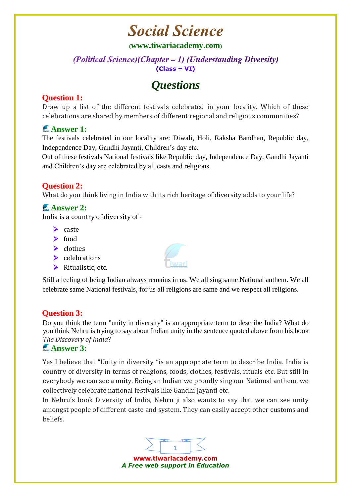# **Social Science**

#### **([www.tiwariacademy.com](http://www.tiwariacademy.com/))**

#### (Political Science) (Chapter - 1) (Understanding Diversity)  $(Class - VI)$

# *Questions*

## **Question 1:**

Draw up a list of the different festivals celebrated in your locality. Which of these celebrations are shared by members [of](http://www.tiwariacademy.com/) different regional and religious communities?

# **Answer 1:**

The festivals celebrated in our locality are: Diwali, Holi, Raksha Bandhan, Republic day, Independence Day, Gandhi Jayanti, Children's day etc.

Out of these festivals National festivals like Republic day, Independence Day, Gandhi Jayanti and Children's day are celebrated by all casts and religions.

### **Question 2:**

What do you think living in India with its rich heritage [of](http://www.tiwariacademy.com/) diversity adds to your life?

# **Answer 2:**

India is a country of diversity of -

- $\triangleright$  caste
- $\blacktriangleright$  food
- $\blacktriangleright$  clothes
- $\blacktriangleright$  celebrations
- $\blacktriangleright$  Ritualistic, etc.

Still a feeling of being Indian always remains in us. We all sing same National anthem. We all celebrate same National festivals, for us all religions are same and we respect all religions.

### **Question 3:**

Do you think the term "unity in diversity" is an appropriate term to describe India? What do you think Nehru is trying to say about Indian unity in the sentence quoted above from his book *The Discovery of India*?

### **Answer 3:**

Yes I believe that "Unity in diversity "is an appropriate term to describe India. India is country of diversity in terms of religions, foods, clothes, festivals, rituals etc. But still in everybody we can see a unity. Being an Indian we proudly sing our National anthem, we collectively celebrate national festivals like Gandhi Jayanti etc.

In Nehru's book Diversity [of](http://www.tiwariacademy.com/) India, Nehru ji also wants to say that we can see unity amongst people of different caste and system. They can easily accept other customs and beliefs.